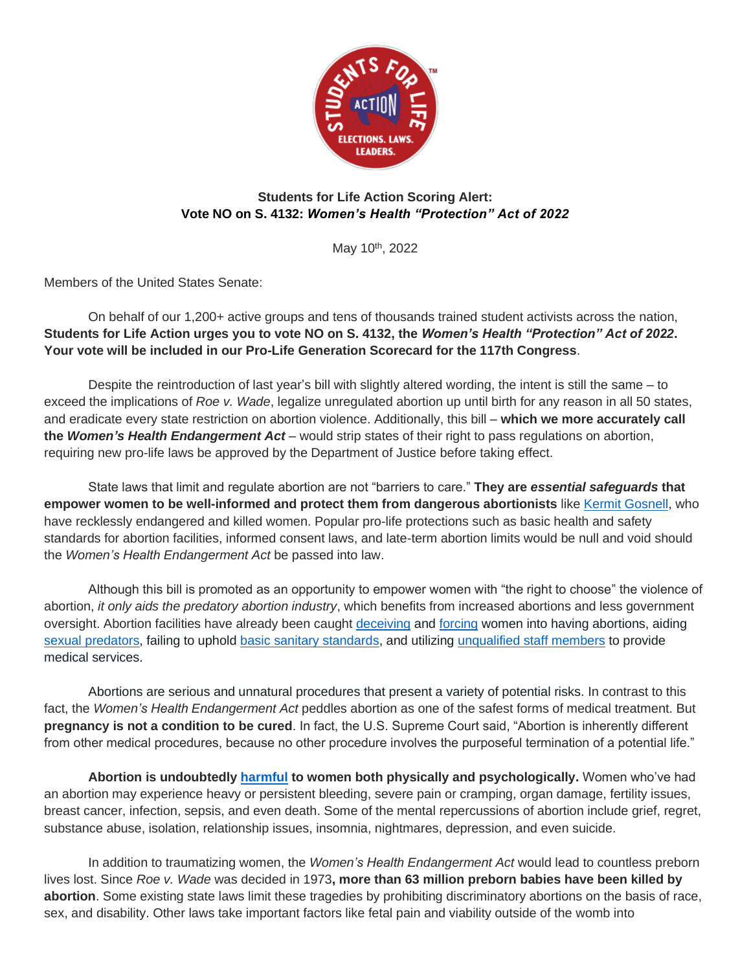

## **Students for Life Action Scoring Alert: Vote NO on S. 4132:** *Women's Health "Protection" Act of 2022*

May 10<sup>th</sup>, 2022

Members of the United States Senate:

On behalf of our 1,200+ active groups and tens of thousands trained student activists across the nation, **Students for Life Action urges you to vote NO on S. 4132, the** *Women's Health "Protection" Act of 2022***. Your vote will be included in our Pro-Life Generation Scorecard for the 117th Congress**.

Despite the reintroduction of last year's bill with slightly altered wording, the intent is still the same – to exceed the implications of *Roe v. Wade*, legalize unregulated abortion up until birth for any reason in all 50 states, and eradicate every state restriction on abortion violence. Additionally, this bill – **which we more accurately call the** *Women's Health Endangerment Act –* would strip states of their right to pass regulations on abortion, requiring new pro-life laws be approved by the Department of Justice before taking effect.

State laws that limit and regulate abortion are not "barriers to care." **They are** *essential safeguards* **that empower women to be well-informed and protect them from dangerous abortionists** like [Kermit Gosnell,](https://thefederalist.com/2021/01/19/10-years-after-the-fbi-found-abortionist-kermit-gosnells-house-of-horrors-it-could-still-happen-again/) who have recklessly endangered and killed women. Popular pro-life protections such as basic health and safety standards for abortion facilities, informed consent laws, and late-term abortion limits would be null and void should the *Women's Health Endangerment Act* be passed into law.

Although this bill is promoted as an opportunity to empower women with "the right to choose" the violence of abortion, *it only aids the predatory abortion industry*, which benefits from increased abortions and less government oversight. Abortion facilities have already been caught [deceiving](https://www.liveaction.org/news/late-term-abortion-clinics-lie-to-women-about-fetal-development/) and [forcing](https://www.liveaction.org/news/abortionist-forces-abortion-scream/) women into having abortions, aiding [sexual predators,](https://www.washingtontimes.com/news/2011/feb/1/video-shows-planned-parenthood-manager-aiding-pimp/) failing to uphold [basic sanitary standards,](https://www.liveaction.org/news/?s=filthy) and utilizing [unqualified staff members](https://www.liveaction.org/news/inspection-records-untrained-staff-systemic-abortion-industry/) to provide medical services.

Abortions are serious and unnatural procedures that present a variety of potential risks. In contrast to this fact, the *Women's Health Endangerment Act* peddles abortion as one of the safest forms of medical treatment. But **pregnancy is not a condition to be cured**. In fact, the U.S. Supreme Court said, "Abortion is inherently different from other medical procedures, because no other procedure involves the purposeful termination of a potential life."

**Abortion is undoubtedly [harmful](https://studentsforlife.org/abortionrisks/) to women both physically and psychologically.** Women who've had an abortion may experience heavy or persistent bleeding, severe pain or cramping, organ damage, fertility issues, breast cancer, infection, sepsis, and even death. Some of the mental repercussions of abortion include grief, regret, substance abuse, isolation, relationship issues, insomnia, nightmares, depression, and even suicide.

In addition to traumatizing women, the *Women's Health Endangerment Act* would lead to countless preborn lives lost. Since *Roe v. Wade* was decided in 1973**, more than 63 million preborn babies have been killed by abortion**. Some existing state laws limit these tragedies by prohibiting discriminatory abortions on the basis of race, sex, and disability. Other laws take important factors like fetal pain and viability outside of the womb into